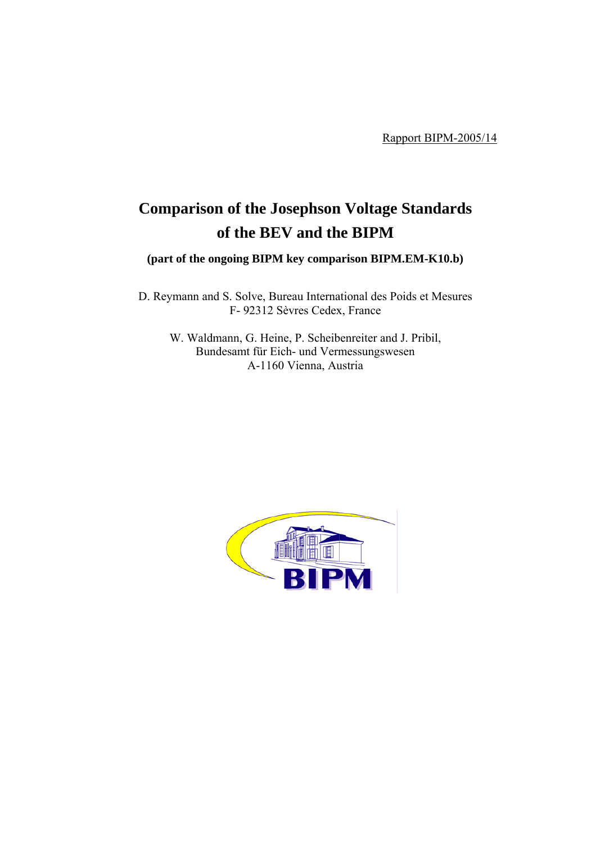Rapport BIPM-2005/14

# **Comparison of the Josephson Voltage Standards of the BEV and the BIPM**

**(part of the ongoing BIPM key comparison BIPM.EM-K10.b)**

D. Reymann and S. Solve, Bureau International des Poids et Mesures F- 92312 Sèvres Cedex, France

W. Waldmann, G. Heine, P. Scheibenreiter and J. Pribil, Bundesamt für Eich- und Vermessungswesen A-1160 Vienna, Austria

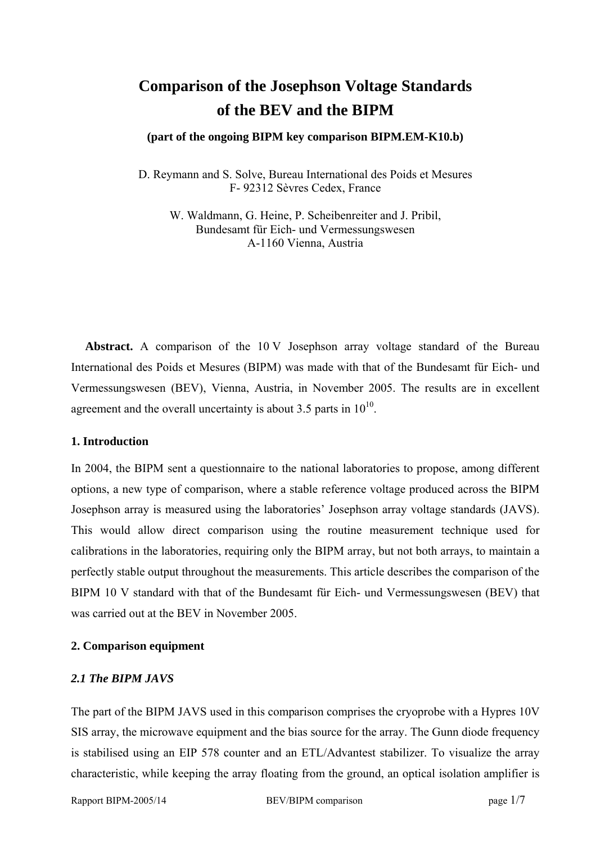## **Comparison of the Josephson Voltage Standards of the BEV and the BIPM**

#### **(part of the ongoing BIPM key comparison BIPM.EM-K10.b)**

D. Reymann and S. Solve, Bureau International des Poids et Mesures F- 92312 Sèvres Cedex, France

W. Waldmann, G. Heine, P. Scheibenreiter and J. Pribil, Bundesamt für Eich- und Vermessungswesen A-1160 Vienna, Austria

Abstract. A comparison of the 10 V Josephson array voltage standard of the Bureau International des Poids et Mesures (BIPM) was made with that of the Bundesamt für Eich- und Vermessungswesen (BEV), Vienna, Austria, in November 2005. The results are in excellent agreement and the overall uncertainty is about 3.5 parts in  $10^{10}$ .

#### **1. Introduction**

In 2004, the BIPM sent a questionnaire to the national laboratories to propose, among different options, a new type of comparison, where a stable reference voltage produced across the BIPM Josephson array is measured using the laboratories' Josephson array voltage standards (JAVS). This would allow direct comparison using the routine measurement technique used for calibrations in the laboratories, requiring only the BIPM array, but not both arrays, to maintain a perfectly stable output throughout the measurements. This article describes the comparison of the BIPM 10 V standard with that of the Bundesamt für Eich- und Vermessungswesen (BEV) that was carried out at the BEV in November 2005.

## **2. Comparison equipment**

## *2.1 The BIPM JAVS*

The part of the BIPM JAVS used in this comparison comprises the cryoprobe with a Hypres 10V SIS array, the microwave equipment and the bias source for the array. The Gunn diode frequency is stabilised using an EIP 578 counter and an ETL/Advantest stabilizer. To visualize the array characteristic, while keeping the array floating from the ground, an optical isolation amplifier is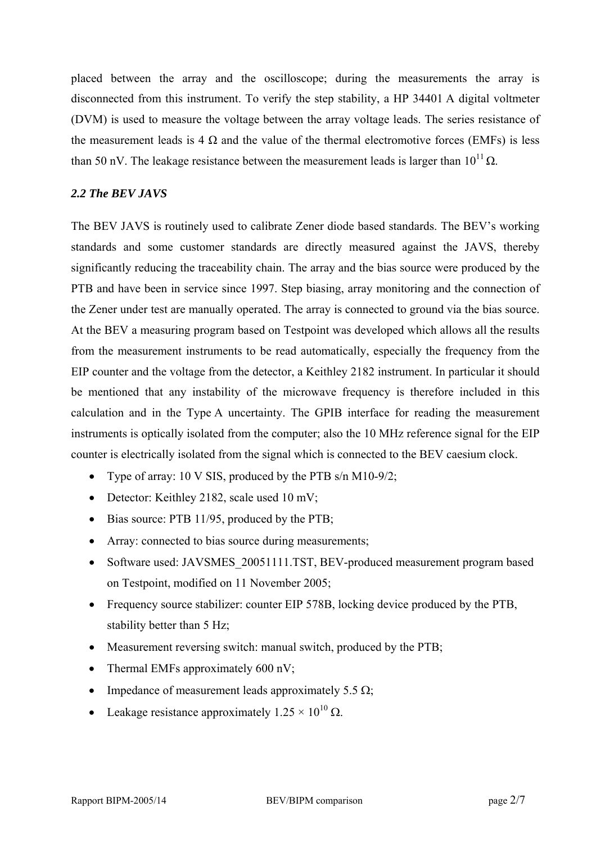placed between the array and the oscilloscope; during the measurements the array is disconnected from this instrument. To verify the step stability, a HP 34401 A digital voltmeter (DVM) is used to measure the voltage between the array voltage leads. The series resistance of the measurement leads is 4  $\Omega$  and the value of the thermal electromotive forces (EMFs) is less than 50 nV. The leakage resistance between the measurement leads is larger than  $10^{11} \Omega$ .

## *2.2 The BEV JAVS*

The BEV JAVS is routinely used to calibrate Zener diode based standards. The BEV's working standards and some customer standards are directly measured against the JAVS, thereby significantly reducing the traceability chain. The array and the bias source were produced by the PTB and have been in service since 1997. Step biasing, array monitoring and the connection of the Zener under test are manually operated. The array is connected to ground via the bias source. At the BEV a measuring program based on Testpoint was developed which allows all the results from the measurement instruments to be read automatically, especially the frequency from the EIP counter and the voltage from the detector, a Keithley 2182 instrument. In particular it should be mentioned that any instability of the microwave frequency is therefore included in this calculation and in the Type A uncertainty. The GPIB interface for reading the measurement instruments is optically isolated from the computer; also the 10 MHz reference signal for the EIP counter is electrically isolated from the signal which is connected to the BEV caesium clock.

- Type of array: 10 V SIS, produced by the PTB s/n M10-9/2;
- Detector: Keithley 2182, scale used 10 mV;
- Bias source: PTB 11/95, produced by the PTB;
- Array: connected to bias source during measurements;
- Software used: JAVSMES 20051111.TST, BEV-produced measurement program based on Testpoint, modified on 11 November 2005;
- Frequency source stabilizer: counter EIP 578B, locking device produced by the PTB, stability better than 5 Hz;
- Measurement reversing switch: manual switch, produced by the PTB;
- Thermal EMFs approximately 600 nV;
- Impedance of measurement leads approximately 5.5  $\Omega$ ;
- Leakage resistance approximately  $1.25 \times 10^{10} \Omega$ .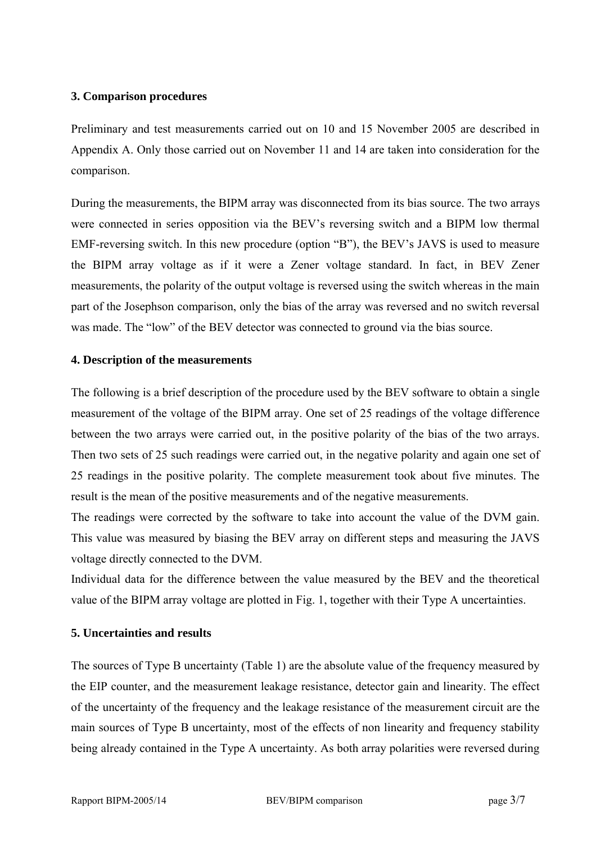## **3. Comparison procedures**

Preliminary and test measurements carried out on 10 and 15 November 2005 are described in Appendix A. Only those carried out on November 11 and 14 are taken into consideration for the comparison.

During the measurements, the BIPM array was disconnected from its bias source. The two arrays were connected in series opposition via the BEV's reversing switch and a BIPM low thermal EMF-reversing switch. In this new procedure (option "B"), the BEV's JAVS is used to measure the BIPM array voltage as if it were a Zener voltage standard. In fact, in BEV Zener measurements, the polarity of the output voltage is reversed using the switch whereas in the main part of the Josephson comparison, only the bias of the array was reversed and no switch reversal was made. The "low" of the BEV detector was connected to ground via the bias source.

## **4. Description of the measurements**

The following is a brief description of the procedure used by the BEV software to obtain a single measurement of the voltage of the BIPM array. One set of 25 readings of the voltage difference between the two arrays were carried out, in the positive polarity of the bias of the two arrays. Then two sets of 25 such readings were carried out, in the negative polarity and again one set of 25 readings in the positive polarity. The complete measurement took about five minutes. The result is the mean of the positive measurements and of the negative measurements.

The readings were corrected by the software to take into account the value of the DVM gain. This value was measured by biasing the BEV array on different steps and measuring the JAVS voltage directly connected to the DVM.

Individual data for the difference between the value measured by the BEV and the theoretical value of the BIPM array voltage are plotted in Fig. 1, together with their Type A uncertainties.

## **5. Uncertainties and results**

The sources of Type B uncertainty (Table 1) are the absolute value of the frequency measured by the EIP counter, and the measurement leakage resistance, detector gain and linearity. The effect of the uncertainty of the frequency and the leakage resistance of the measurement circuit are the main sources of Type B uncertainty, most of the effects of non linearity and frequency stability being already contained in the Type A uncertainty. As both array polarities were reversed during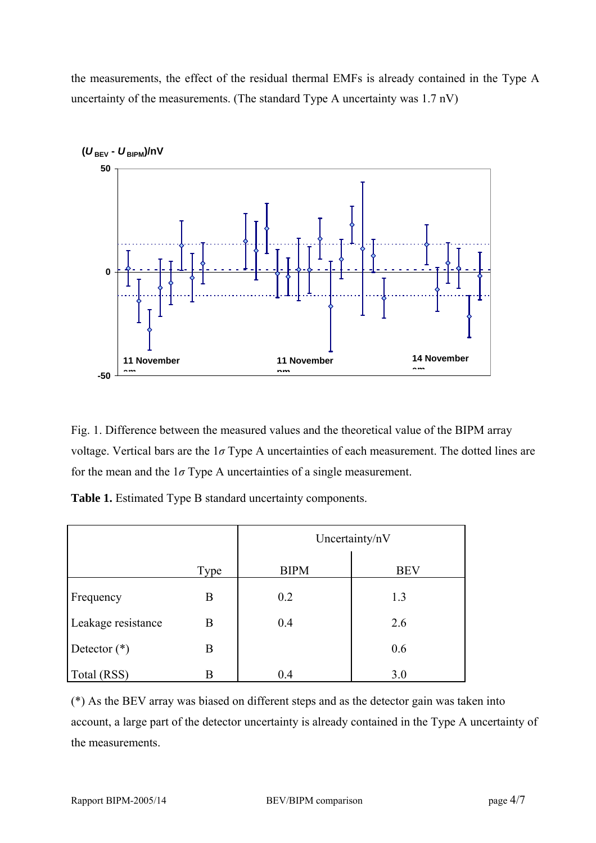the measurements, the effect of the residual thermal EMFs is already contained in the Type A uncertainty of the measurements. (The standard Type A uncertainty was 1.7 nV)



Fig. 1. Difference between the measured values and the theoretical value of the BIPM array voltage. Vertical bars are the 1*σ* Type A uncertainties of each measurement. The dotted lines are for the mean and the  $1\sigma$  Type A uncertainties of a single measurement.

**Table 1.** Estimated Type B standard uncertainty components.

|                    |      | Uncertainty/nV |            |
|--------------------|------|----------------|------------|
|                    | Type | <b>BIPM</b>    | <b>BEV</b> |
| Frequency          | B    | 0.2            | 1.3        |
| Leakage resistance | B    | 0.4            | 2.6        |
| Detector $(*)$     | B    |                | 0.6        |
| Total (RSS)        | B    | 0.4            | 3.0        |

(\*) As the BEV array was biased on different steps and as the detector gain was taken into account, a large part of the detector uncertainty is already contained in the Type A uncertainty of the measurements.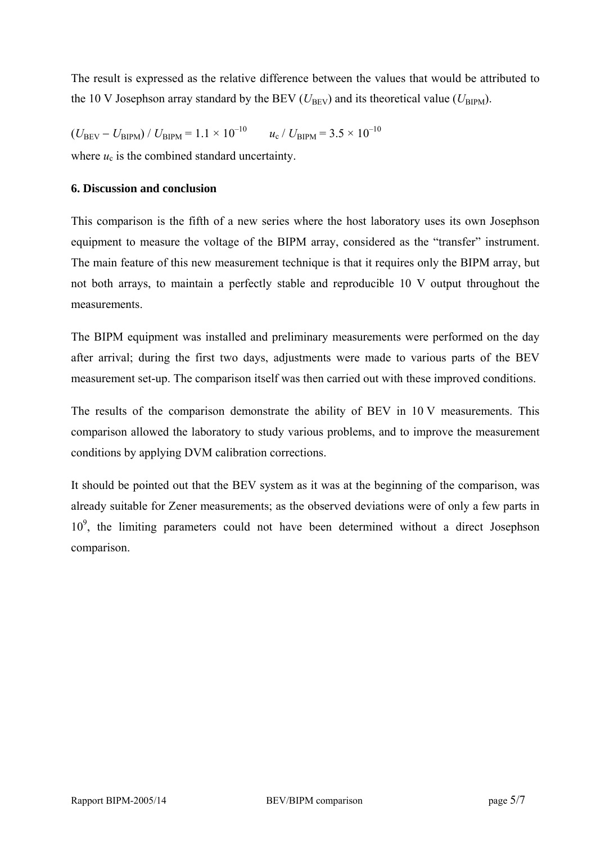The result is expressed as the relative difference between the values that would be attributed to the 10 V Josephson array standard by the BEV ( $U_{\text{BEV}}$ ) and its theoretical value ( $U_{\text{BIPM}}$ ).

 $(U_{\text{BEV}} - U_{\text{BIPM}}) / U_{\text{BIPM}} = 1.1 \times 10^{-10}$  $u_c$  /  $U_{\text{RIPM}}$  = 3.5  $\times$  10<sup>-10</sup> where  $u_c$  is the combined standard uncertainty.

## **6. Discussion and conclusion**

This comparison is the fifth of a new series where the host laboratory uses its own Josephson equipment to measure the voltage of the BIPM array, considered as the "transfer" instrument. The main feature of this new measurement technique is that it requires only the BIPM array, but not both arrays, to maintain a perfectly stable and reproducible 10 V output throughout the measurements.

The BIPM equipment was installed and preliminary measurements were performed on the day after arrival; during the first two days, adjustments were made to various parts of the BEV measurement set-up. The comparison itself was then carried out with these improved conditions.

The results of the comparison demonstrate the ability of BEV in 10 V measurements. This comparison allowed the laboratory to study various problems, and to improve the measurement conditions by applying DVM calibration corrections.

It should be pointed out that the BEV system as it was at the beginning of the comparison, was already suitable for Zener measurements; as the observed deviations were of only a few parts in 10<sup>9</sup>, the limiting parameters could not have been determined without a direct Josephson comparison.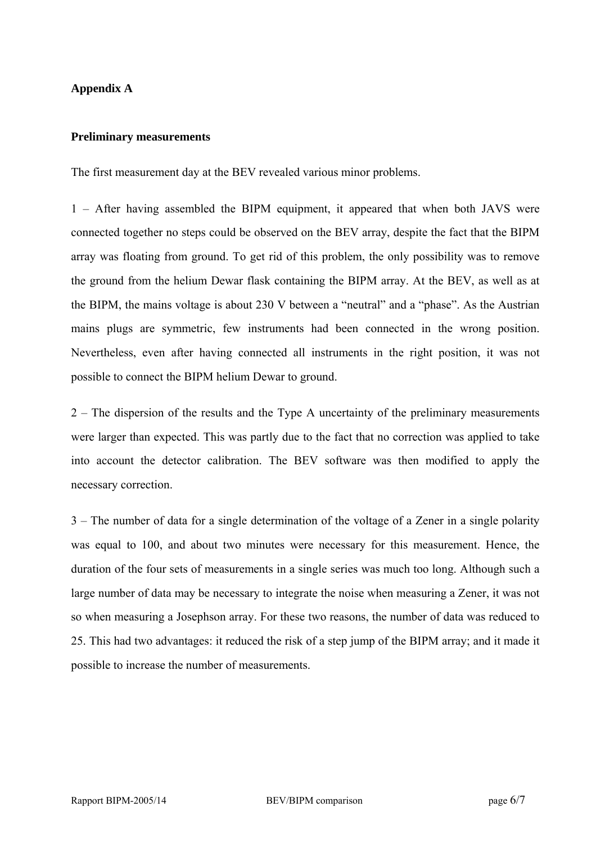## **Appendix A**

#### **Preliminary measurements**

The first measurement day at the BEV revealed various minor problems.

1 – After having assembled the BIPM equipment, it appeared that when both JAVS were connected together no steps could be observed on the BEV array, despite the fact that the BIPM array was floating from ground. To get rid of this problem, the only possibility was to remove the ground from the helium Dewar flask containing the BIPM array. At the BEV, as well as at the BIPM, the mains voltage is about 230 V between a "neutral" and a "phase". As the Austrian mains plugs are symmetric, few instruments had been connected in the wrong position. Nevertheless, even after having connected all instruments in the right position, it was not possible to connect the BIPM helium Dewar to ground.

2 – The dispersion of the results and the Type A uncertainty of the preliminary measurements were larger than expected. This was partly due to the fact that no correction was applied to take into account the detector calibration. The BEV software was then modified to apply the necessary correction.

3 – The number of data for a single determination of the voltage of a Zener in a single polarity was equal to 100, and about two minutes were necessary for this measurement. Hence, the duration of the four sets of measurements in a single series was much too long. Although such a large number of data may be necessary to integrate the noise when measuring a Zener, it was not so when measuring a Josephson array. For these two reasons, the number of data was reduced to 25. This had two advantages: it reduced the risk of a step jump of the BIPM array; and it made it possible to increase the number of measurements.